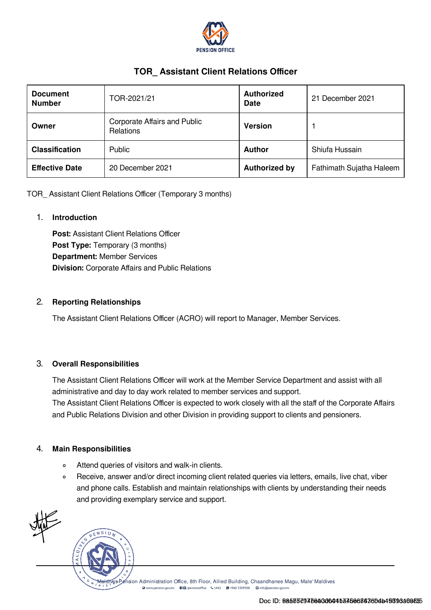

# TOR\_ Assistant Client Relations Officer

| <b>Document</b><br><b>Number</b> | TOR-2021/21                                             | <b>Authorized</b><br><b>Date</b> | 21 December 2021         |
|----------------------------------|---------------------------------------------------------|----------------------------------|--------------------------|
| Owner                            | <b>Corporate Affairs and Public</b><br><b>Relations</b> | <b>Version</b>                   |                          |
| <b>Classification</b>            | <b>Public</b>                                           | <b>Author</b>                    | Shiufa Hussain           |
| <b>Effective Date</b>            | 20 December 2021                                        | <b>Authorized by</b>             | Fathimath Sujatha Haleem |

TOR\_ Assistant Client Relations Officer (Temporary 3 months)

#### 1. Introduction

Post: Assistant Client Relations Officer Post Type: Temporary (3 months) Department: Member Services Division: Corporate Affairs and Public Relations

### 2. Reporting Relationships

The Assistant Client Relations Officer (ACRO) will report to Manager, Member Services.

#### 3. Overall Responsibilities

The Assistant Client Relations Officer will work at the Member Service Department and assist with all administrative and day to day work related to member services and support. The Assistant Client Relations Officer is expected to work closely with all the staff of the Corporate Affairs and Public Relations Division and other Division in providing support to clients and pensioners.

#### 4. Main Responsibilities

- Attend queries of visitors and walk-in clients.  $\circ$
- Receive, answer and/or direct incoming client related queries via letters, emails, live chat, viber  $\circ$ and phone calls. Establish and maintain relationships with clients by understanding their needs and providing exemplary service and support.



Helives Pension Administration Office, 8th Floor, Allied Building, Chaandhanee Magu, Male' Maldives O www.pension.gov.mv ■ ■ /pensionoffice ↓ 1441 ■ +960 3309908 ■ info@pension.gov.m